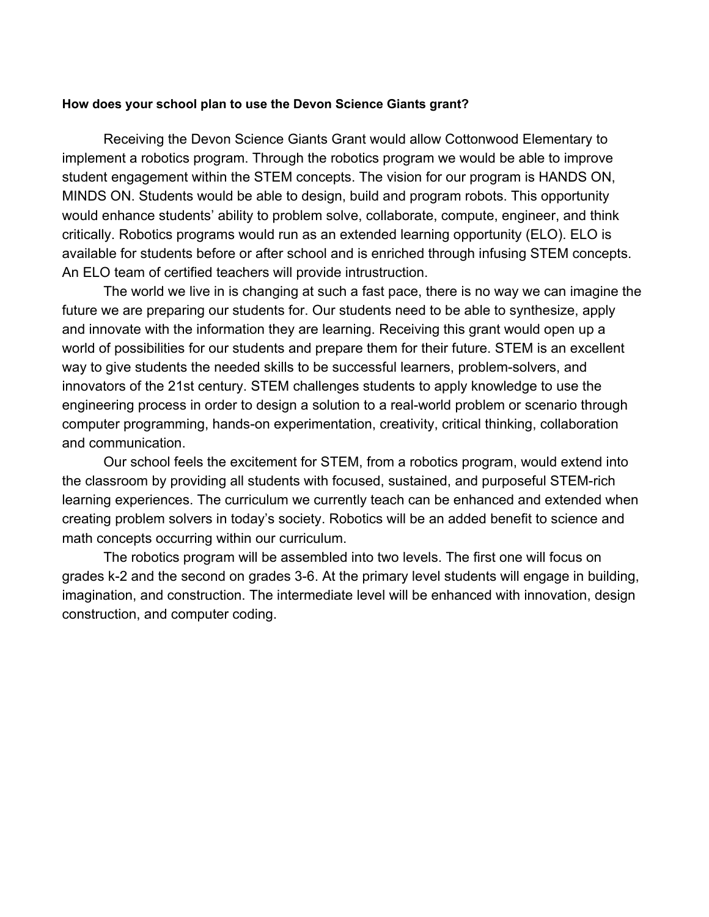### **How does your school plan to use the Devon Science Giants grant?**

Receiving the Devon Science Giants Grant would allow Cottonwood Elementary to implement a robotics program. Through the robotics program we would be able to improve student engagement within the STEM concepts. The vision for our program is HANDS ON, MINDS ON. Students would be able to design, build and program robots. This opportunity would enhance students' ability to problem solve, collaborate, compute, engineer, and think critically. Robotics programs would run as an extended learning opportunity (ELO). ELO is available for students before or after school and is enriched through infusing STEM concepts. An ELO team of certified teachers will provide intrustruction.

The world we live in is changing at such a fast pace, there is no way we can imagine the future we are preparing our students for. Our students need to be able to synthesize, apply and innovate with the information they are learning. Receiving this grant would open up a world of possibilities for our students and prepare them for their future. STEM is an excellent way to give students the needed skills to be successful learners, problem-solvers, and innovators of the 21st century. STEM challenges students to apply knowledge to use the engineering process in order to design a solution to a real-world problem or scenario through computer programming, hands-on experimentation, creativity, critical thinking, collaboration and communication.

Our school feels the excitement for STEM, from a robotics program, would extend into the classroom by providing all students with focused, sustained, and purposeful STEM-rich learning experiences. The curriculum we currently teach can be enhanced and extended when creating problem solvers in today's society. Robotics will be an added benefit to science and math concepts occurring within our curriculum.

The robotics program will be assembled into two levels. The first one will focus on grades k-2 and the second on grades 3-6. At the primary level students will engage in building, imagination, and construction. The intermediate level will be enhanced with innovation, design construction, and computer coding.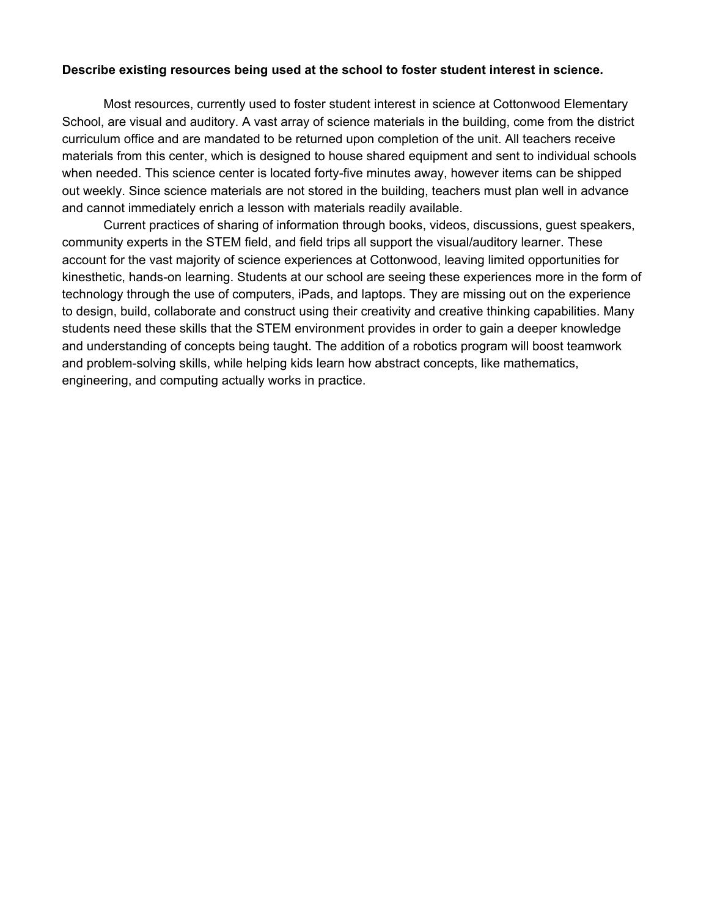## **Describe existing resources being used at the school to foster student interest in science.**

Most resources, currently used to foster student interest in science at Cottonwood Elementary School, are visual and auditory. A vast array of science materials in the building, come from the district curriculum office and are mandated to be returned upon completion of the unit. All teachers receive materials from this center, which is designed to house shared equipment and sent to individual schools when needed. This science center is located forty-five minutes away, however items can be shipped out weekly. Since science materials are not stored in the building, teachers must plan well in advance and cannot immediately enrich a lesson with materials readily available.

Current practices of sharing of information through books, videos, discussions, guest speakers, community experts in the STEM field, and field trips all support the visual/auditory learner. These account for the vast majority of science experiences at Cottonwood, leaving limited opportunities for kinesthetic, hands-on learning. Students at our school are seeing these experiences more in the form of technology through the use of computers, iPads, and laptops. They are missing out on the experience to design, build, collaborate and construct using their creativity and creative thinking capabilities. Many students need these skills that the STEM environment provides in order to gain a deeper knowledge and understanding of concepts being taught. The addition of a robotics program will boost teamwork and problem-solving skills, while helping kids learn how abstract concepts, like mathematics, engineering, and computing actually works in practice.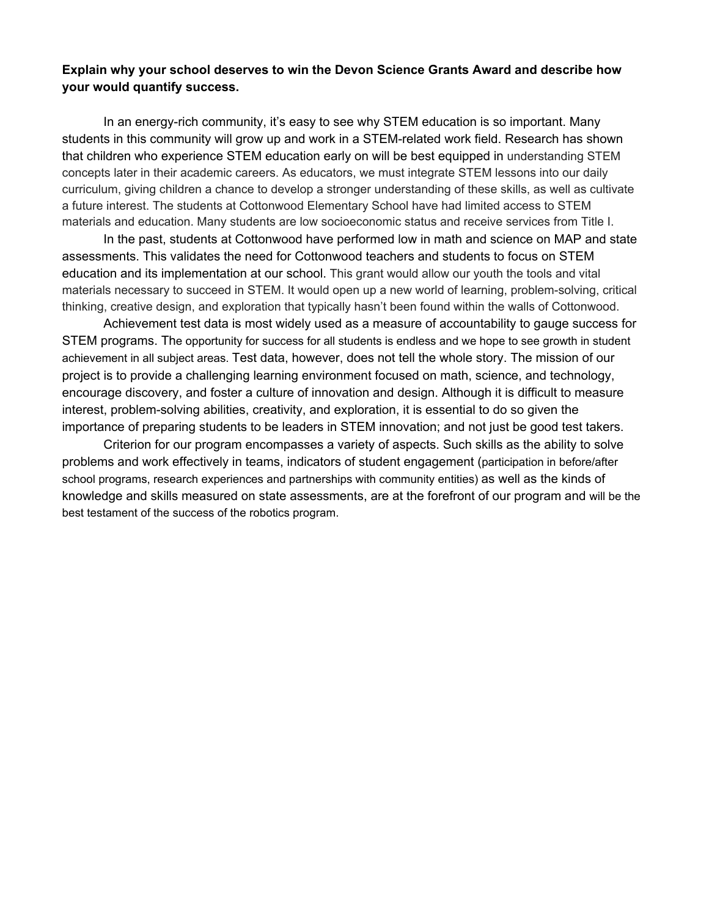# **Explain why your school deserves to win the Devon Science Grants Award and describe how your would quantify success.**

In an energy-rich community, it's easy to see why STEM education is so important. Many students in this community will grow up and work in a STEM-related work field. Research has shown that children who experience STEM education early on will be best equipped in understanding STEM concepts later in their academic careers. As educators, we must integrate STEM lessons into our daily curriculum, giving children a chance to develop a stronger understanding of these skills, as well as cultivate a future interest. The students at Cottonwood Elementary School have had limited access to STEM materials and education. Many students are low socioeconomic status and receive services from Title I.

In the past, students at Cottonwood have performed low in math and science on MAP and state assessments. This validates the need for Cottonwood teachers and students to focus on STEM education and its implementation at our school. This grant would allow our youth the tools and vital materials necessary to succeed in STEM. It would open up a new world of learning, problem-solving, critical thinking, creative design, and exploration that typically hasn't been found within the walls of Cottonwood.

Achievement test data is most widely used as a measure of accountability to gauge success for STEM programs. The opportunity for success for all students is endless and we hope to see growth in student achievement in all subject areas. Test data, however, does not tell the whole story. The mission of our project is to provide a challenging learning environment focused on math, science, and technology, encourage discovery, and foster a culture of innovation and design. Although it is difficult to measure interest, problem-solving abilities, creativity, and exploration, it is essential to do so given the importance of preparing students to be leaders in STEM innovation; and not just be good test takers.

Criterion for our program encompasses a variety of aspects. Such skills as the ability to solve problems and work effectively in teams, indicators of student engagement (participation in before/after school programs, research experiences and partnerships with community entities) as well as the kinds of knowledge and skills measured on state assessments, are at the forefront of our program and will be the best testament of the success of the robotics program.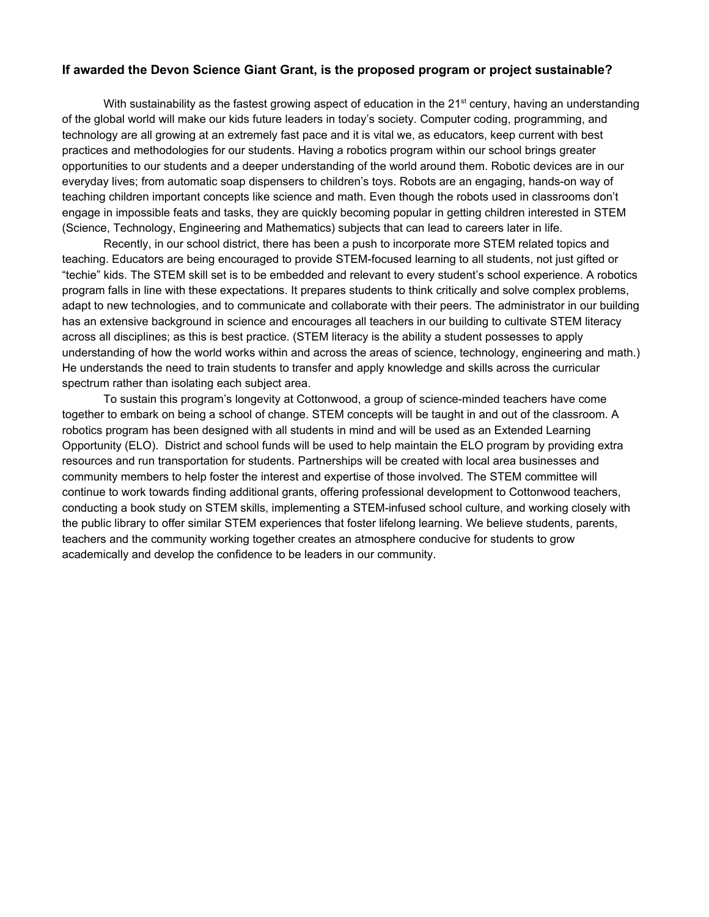#### **If awarded the Devon Science Giant Grant, is the proposed program or project sustainable?**

With sustainability as the fastest growing aspect of education in the 21<sup>st</sup> century, having an understanding of the global world will make our kids future leaders in today's society. Computer coding, programming, and technology are all growing at an extremely fast pace and it is vital we, as educators, keep current with best practices and methodologies for our students. Having a robotics program within our school brings greater opportunities to our students and a deeper understanding of the world around them. Robotic devices are in our everyday lives; from automatic soap dispensers to children's toys. Robots are an engaging, hands-on way of teaching children important concepts like science and math. Even though the robots used in classrooms don't engage in impossible feats and tasks, they are quickly becoming popular in getting children interested in STEM (Science, Technology, Engineering and Mathematics) subjects that can lead to careers later in life.

Recently, in our school district, there has been a push to incorporate more STEM related topics and teaching. Educators are being encouraged to provide STEM-focused learning to all students, not just gifted or "techie" kids. The STEM skill set is to be embedded and relevant to every student's school experience. A robotics program falls in line with these expectations. It prepares students to think critically and solve complex problems, adapt to new technologies, and to communicate and collaborate with their peers. The administrator in our building has an extensive background in science and encourages all teachers in our building to cultivate STEM literacy across all disciplines; as this is best practice. (STEM literacy is the ability a student possesses to apply understanding of how the world works within and across the areas of science, technology, engineering and math.) He understands the need to train students to transfer and apply knowledge and skills across the curricular spectrum rather than isolating each subject area.

To sustain this program's longevity at Cottonwood, a group of science-minded teachers have come together to embark on being a school of change. STEM concepts will be taught in and out of the classroom. A robotics program has been designed with all students in mind and will be used as an Extended Learning Opportunity (ELO). District and school funds will be used to help maintain the ELO program by providing extra resources and run transportation for students. Partnerships will be created with local area businesses and community members to help foster the interest and expertise of those involved. The STEM committee will continue to work towards finding additional grants, offering professional development to Cottonwood teachers, conducting a book study on STEM skills, implementing a STEM-infused school culture, and working closely with the public library to offer similar STEM experiences that foster lifelong learning. We believe students, parents, teachers and the community working together creates an atmosphere conducive for students to grow academically and develop the confidence to be leaders in our community.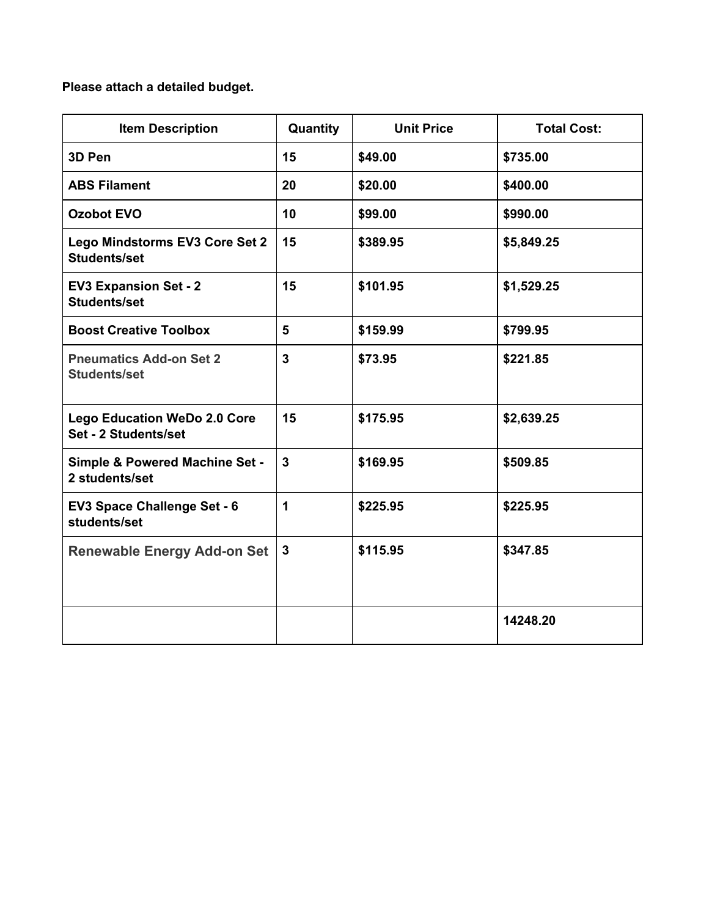# **Please attach a detailed budget.**

| <b>Item Description</b>                                     | Quantity     | <b>Unit Price</b> | <b>Total Cost:</b> |
|-------------------------------------------------------------|--------------|-------------------|--------------------|
| 3D Pen                                                      | 15           | \$49.00           | \$735.00           |
| <b>ABS Filament</b>                                         | 20           | \$20.00           | \$400.00           |
| <b>Ozobot EVO</b>                                           | 10           | \$99.00           | \$990.00           |
| Lego Mindstorms EV3 Core Set 2<br><b>Students/set</b>       | 15           | \$389.95          | \$5,849.25         |
| <b>EV3 Expansion Set - 2</b><br><b>Students/set</b>         | 15           | \$101.95          | \$1,529.25         |
| <b>Boost Creative Toolbox</b>                               | 5            | \$159.99          | \$799.95           |
| <b>Pneumatics Add-on Set 2</b><br><b>Students/set</b>       | 3            | \$73.95           | \$221.85           |
| <b>Lego Education WeDo 2.0 Core</b><br>Set - 2 Students/set | 15           | \$175.95          | \$2,639.25         |
| <b>Simple &amp; Powered Machine Set -</b><br>2 students/set | $\mathbf{3}$ | \$169.95          | \$509.85           |
| EV3 Space Challenge Set - 6<br>students/set                 | 1            | \$225.95          | \$225.95           |
| <b>Renewable Energy Add-on Set</b>                          | $\mathbf{3}$ | \$115.95          | \$347.85           |
|                                                             |              |                   | 14248.20           |